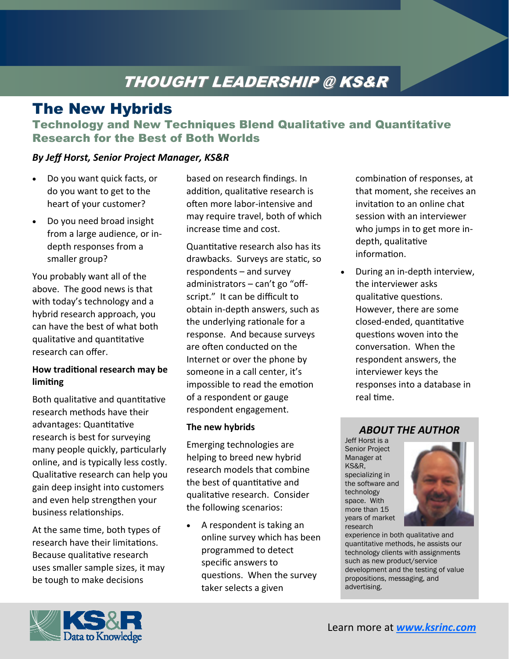# THOUGHT LEADERSHIP @ KS&R

## The New Hybrids

Technology and New Techniques Blend Qualitative and Quantitative Research for the Best of Both Worlds

### *By Jeff Horst, Senior Project Manager, KS&R*

- Do you want quick facts, or do you want to get to the heart of your customer?
- Do you need broad insight from a large audience, or in‐ depth responses from a smaller group?

You probably want all of the above. The good news is that with today's technology and a hybrid research approach, you can have the best of what both qualitative and quantitative research can offer.

#### **How tradiƟonal research may be limiƟng**

Both qualitative and quantitative research methods have their advantages: Quantitative research is best for surveying many people quickly, particularly online, and is typically less costly. Qualitative research can help you gain deep insight into customers and even help strengthen your business relationships.

At the same time, both types of research have their limitations. Because qualitative research uses smaller sample sizes, it may be tough to make decisions

based on research findings. In addition, qualitative research is often more labor-intensive and may require travel, both of which increase time and cost.

Quantitative research also has its drawbacks. Surveys are static, so respondents – and survey administrators – can't go "off‐ script." It can be difficult to obtain in‐depth answers, such as the underlying rationale for a response. And because surveys are often conducted on the Internet or over the phone by someone in a call center, it's impossible to read the emotion of a respondent or gauge respondent engagement.

#### **The new hybrids**

Emerging technologies are helping to breed new hybrid research models that combine the best of quantitative and qualitative research. Consider the following scenarios:

• A respondent is taking an online survey which has been programmed to detect specific answers to questions. When the survey taker selects a given

combination of responses, at that moment, she receives an invitation to an online chat session with an interviewer who jumps in to get more in‐ depth, qualitative information.

• During an in‐depth interview, the interviewer asks qualitative questions. However, there are some closed‐ended, quanƟtaƟve questions woven into the conversaƟon. When the respondent answers, the interviewer keys the responses into a database in real time.

#### *ABOUT THE AUTHOR*

Jeff Horst is a Senior Project Manager at KS&R, specializing in the software and technology space. With more than 15 years of market research



experience in both qualitative and quantitative methods, he assists our technology clients with assignments such as new product/service development and the testing of value propositions, messaging, and advertising.